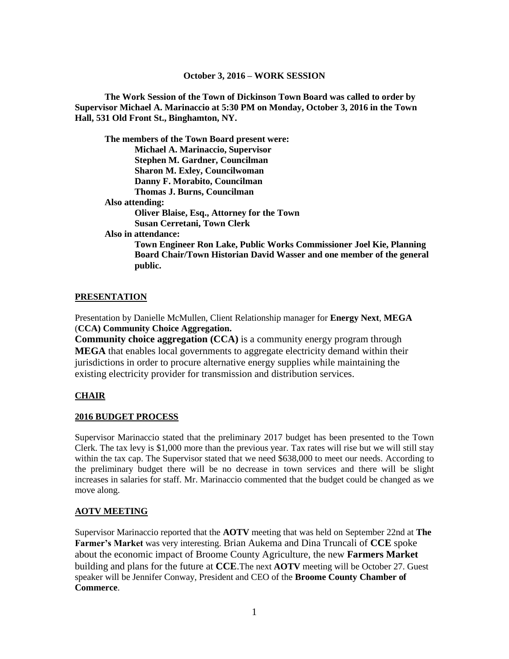**The Work Session of the Town of Dickinson Town Board was called to order by Supervisor Michael A. Marinaccio at 5:30 PM on Monday, October 3, 2016 in the Town Hall, 531 Old Front St., Binghamton, NY.**

**The members of the Town Board present were: Michael A. Marinaccio, Supervisor Stephen M. Gardner, Councilman Sharon M. Exley, Councilwoman Danny F. Morabito, Councilman Thomas J. Burns, Councilman Also attending: Oliver Blaise, Esq., Attorney for the Town Susan Cerretani, Town Clerk Also in attendance:** 

**Town Engineer Ron Lake, Public Works Commissioner Joel Kie, Planning Board Chair/Town Historian David Wasser and one member of the general public.**

## **PRESENTATION**

Presentation by Danielle McMullen, Client Relationship manager for **Energy Next**, **MEGA** (**CCA) Community Choice Aggregation.**

**Community choice aggregation (CCA)** is a community energy program through **MEGA** that enables local governments to aggregate electricity demand within their jurisdictions in order to procure alternative energy supplies while maintaining the existing electricity provider for transmission and distribution services.

# **CHAIR**

# **2016 BUDGET PROCESS**

Supervisor Marinaccio stated that the preliminary 2017 budget has been presented to the Town Clerk. The tax levy is \$1,000 more than the previous year. Tax rates will rise but we will still stay within the tax cap. The Supervisor stated that we need \$638,000 to meet our needs. According to the preliminary budget there will be no decrease in town services and there will be slight increases in salaries for staff. Mr. Marinaccio commented that the budget could be changed as we move along.

# **AOTV MEETING**

Supervisor Marinaccio reported that the **AOTV** meeting that was held on September 22nd at **The Farmer's Market** was very interesting. Brian Aukema and Dina Truncali of **CCE** spoke about the economic impact of Broome County Agriculture, the new **Farmers Market** building and plans for the future at **CCE**.The next **AOTV** meeting will be October 27. Guest speaker will be Jennifer Conway, President and CEO of the **Broome County Chamber of Commerce**.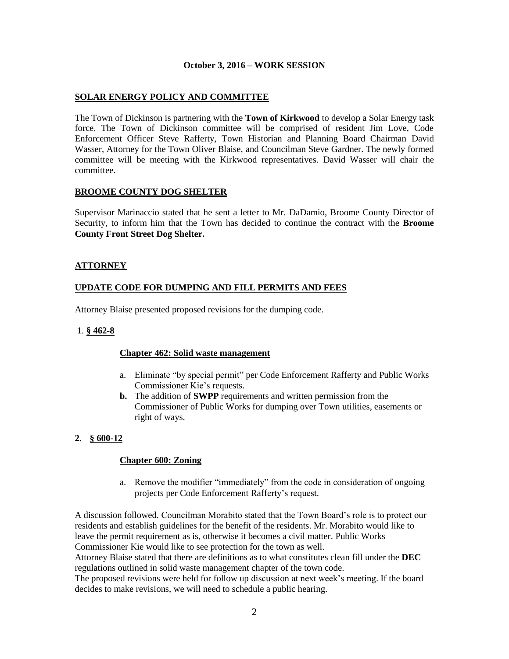## **SOLAR ENERGY POLICY AND COMMITTEE**

The Town of Dickinson is partnering with the **Town of Kirkwood** to develop a Solar Energy task force. The Town of Dickinson committee will be comprised of resident Jim Love, Code Enforcement Officer Steve Rafferty, Town Historian and Planning Board Chairman David Wasser, Attorney for the Town Oliver Blaise, and Councilman Steve Gardner. The newly formed committee will be meeting with the Kirkwood representatives. David Wasser will chair the committee.

### **BROOME COUNTY DOG SHELTER**

Supervisor Marinaccio stated that he sent a letter to Mr. DaDamio, Broome County Director of Security, to inform him that the Town has decided to continue the contract with the **Broome County Front Street Dog Shelter.**

## **ATTORNEY**

## **UPDATE CODE FOR DUMPING AND FILL PERMITS AND FEES**

Attorney Blaise presented proposed revisions for the dumping code.

#### 1. **§ 462-8**

#### **Chapter 462: Solid waste management**

- a. Eliminate "by special permit" per Code Enforcement Rafferty and Public Works Commissioner Kie's requests.
- **b.** The addition of **SWPP** requirements and written permission from the Commissioner of Public Works for dumping over Town utilities, easements or right of ways.

## **2. § 600-12**

#### **Chapter 600: Zoning**

a. Remove the modifier "immediately" from the code in consideration of ongoing projects per Code Enforcement Rafferty's request.

A discussion followed. Councilman Morabito stated that the Town Board's role is to protect our residents and establish guidelines for the benefit of the residents. Mr. Morabito would like to leave the permit requirement as is, otherwise it becomes a civil matter. Public Works Commissioner Kie would like to see protection for the town as well. Attorney Blaise stated that there are definitions as to what constitutes clean fill under the **DEC**

regulations outlined in solid waste management chapter of the town code.

The proposed revisions were held for follow up discussion at next week's meeting. If the board decides to make revisions, we will need to schedule a public hearing.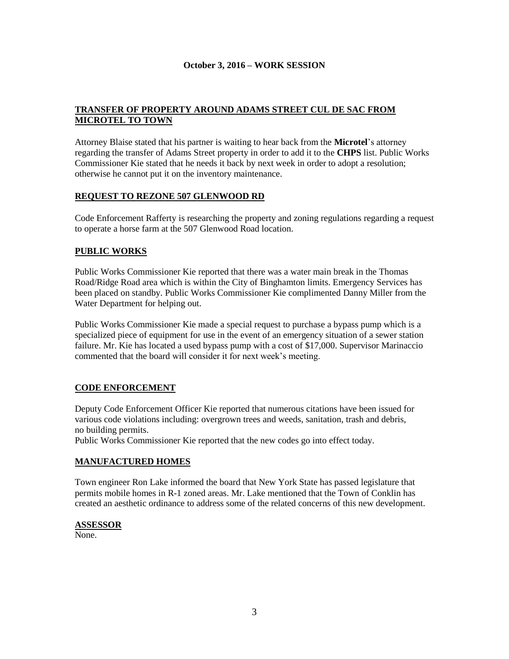## **TRANSFER OF PROPERTY AROUND ADAMS STREET CUL DE SAC FROM MICROTEL TO TOWN**

Attorney Blaise stated that his partner is waiting to hear back from the **Microtel**'s attorney regarding the transfer of Adams Street property in order to add it to the **CHPS** list. Public Works Commissioner Kie stated that he needs it back by next week in order to adopt a resolution; otherwise he cannot put it on the inventory maintenance.

### **REQUEST TO REZONE 507 GLENWOOD RD**

Code Enforcement Rafferty is researching the property and zoning regulations regarding a request to operate a horse farm at the 507 Glenwood Road location.

### **PUBLIC WORKS**

Public Works Commissioner Kie reported that there was a water main break in the Thomas Road/Ridge Road area which is within the City of Binghamton limits. Emergency Services has been placed on standby. Public Works Commissioner Kie complimented Danny Miller from the Water Department for helping out.

Public Works Commissioner Kie made a special request to purchase a bypass pump which is a specialized piece of equipment for use in the event of an emergency situation of a sewer station failure. Mr. Kie has located a used bypass pump with a cost of \$17,000. Supervisor Marinaccio commented that the board will consider it for next week's meeting.

## **CODE ENFORCEMENT**

Deputy Code Enforcement Officer Kie reported that numerous citations have been issued for various code violations including: overgrown trees and weeds, sanitation, trash and debris, no building permits.

Public Works Commissioner Kie reported that the new codes go into effect today.

#### **MANUFACTURED HOMES**

Town engineer Ron Lake informed the board that New York State has passed legislature that permits mobile homes in R-1 zoned areas. Mr. Lake mentioned that the Town of Conklin has created an aesthetic ordinance to address some of the related concerns of this new development.

#### **ASSESSOR**

None.